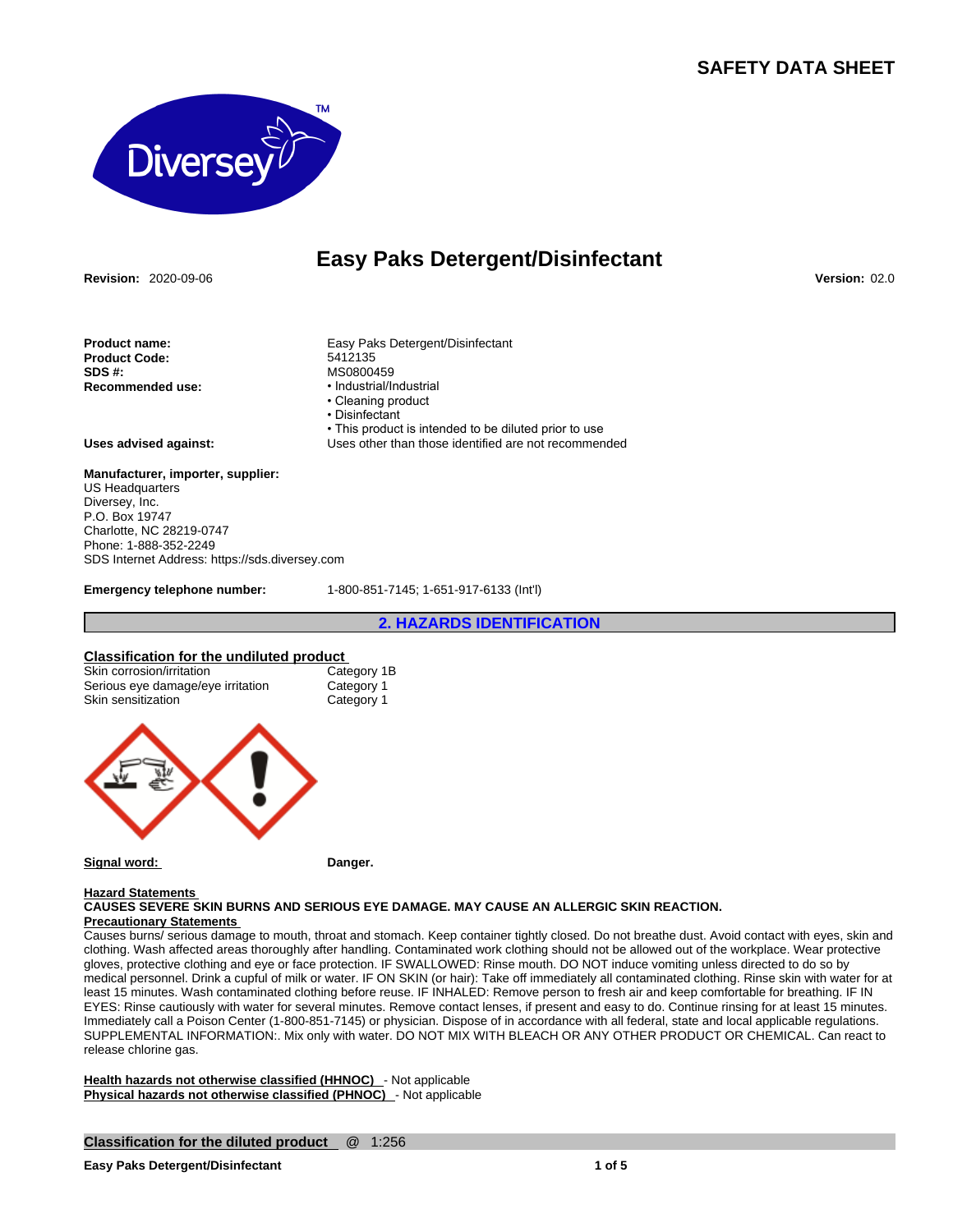# **SAFETY DATA SHEET**



# **Easy Paks Detergent/Disinfectant**

**Revision:** 2020-09-06 **Version:** 02.0

**Product name:** Easy Paks Detergent/Disinfectant **Product Code: SDS #: MS0800459**<br> **Recommended use: ACC**<br> **exampled use: h** lndustrial/ln

**Uses advised against:** Uses other than those identified are not recommended

#### **Manufacturer, importer, supplier:** US Headquarters Diversey, Inc.

P.O. Box 19747 Charlotte, NC 28219-0747 Phone: 1-888-352-2249 SDS Internet Address: https://sds.diversey.com

**Emergency telephone number:** 1-800-851-7145; 1-651-917-6133 (Int'l)

• This product is intended to be diluted prior to use

• Industrial/Industrial • Cleaning product • Disinfectant

**2. HAZARDS IDENTIFICATION**

#### **Classification for the undiluted product**

| Skin corrosion/irritation<br>Serious eye damage/eye irritation<br>Skin sensitization | Category 1B<br>Category 1<br>Category 1 |  |
|--------------------------------------------------------------------------------------|-----------------------------------------|--|
|                                                                                      |                                         |  |



## Signal word: **Danger.** Danger.

### **Hazard Statements**

**CAUSES SEVERE SKIN BURNS AND SERIOUS EYE DAMAGE. MAY CAUSE AN ALLERGIC SKIN REACTION. Precautionary Statements** 

Causes burns/ serious damage to mouth, throat and stomach. Keep container tightly closed. Do not breathe dust. Avoid contact with eyes, skin and clothing. Wash affected areas thoroughly after handling. Contaminated work clothing should not be allowed out of the workplace. Wear protective gloves, protective clothing and eye or face protection. IF SWALLOWED: Rinse mouth. DO NOT induce vomiting unless directed to do so by medical personnel. Drink a cupful of milk or water. IF ON SKIN (or hair): Take off immediately all contaminated clothing. Rinse skin with water for at least 15 minutes. Wash contaminated clothing before reuse. IF INHALED: Remove person to fresh air and keep comfortable for breathing. IF IN EYES: Rinse cautiously with water for several minutes. Remove contact lenses, if present and easy to do. Continue rinsing for at least 15 minutes. Immediately call a Poison Center (1-800-851-7145) or physician. Dispose of in accordance with all federal, state and local applicable regulations. SUPPLEMENTAL INFORMATION:. Mix only with water. DO NOT MIX WITH BLEACH OR ANY OTHER PRODUCT OR CHEMICAL. Can react to<br>release chlorine gas.

**Health hazards not otherwise classified (HHNOC)** - Not applicable **Physical hazards not otherwise classified (PHNOC)** - Not applicable

#### **Classification for the diluted product** @ 1:256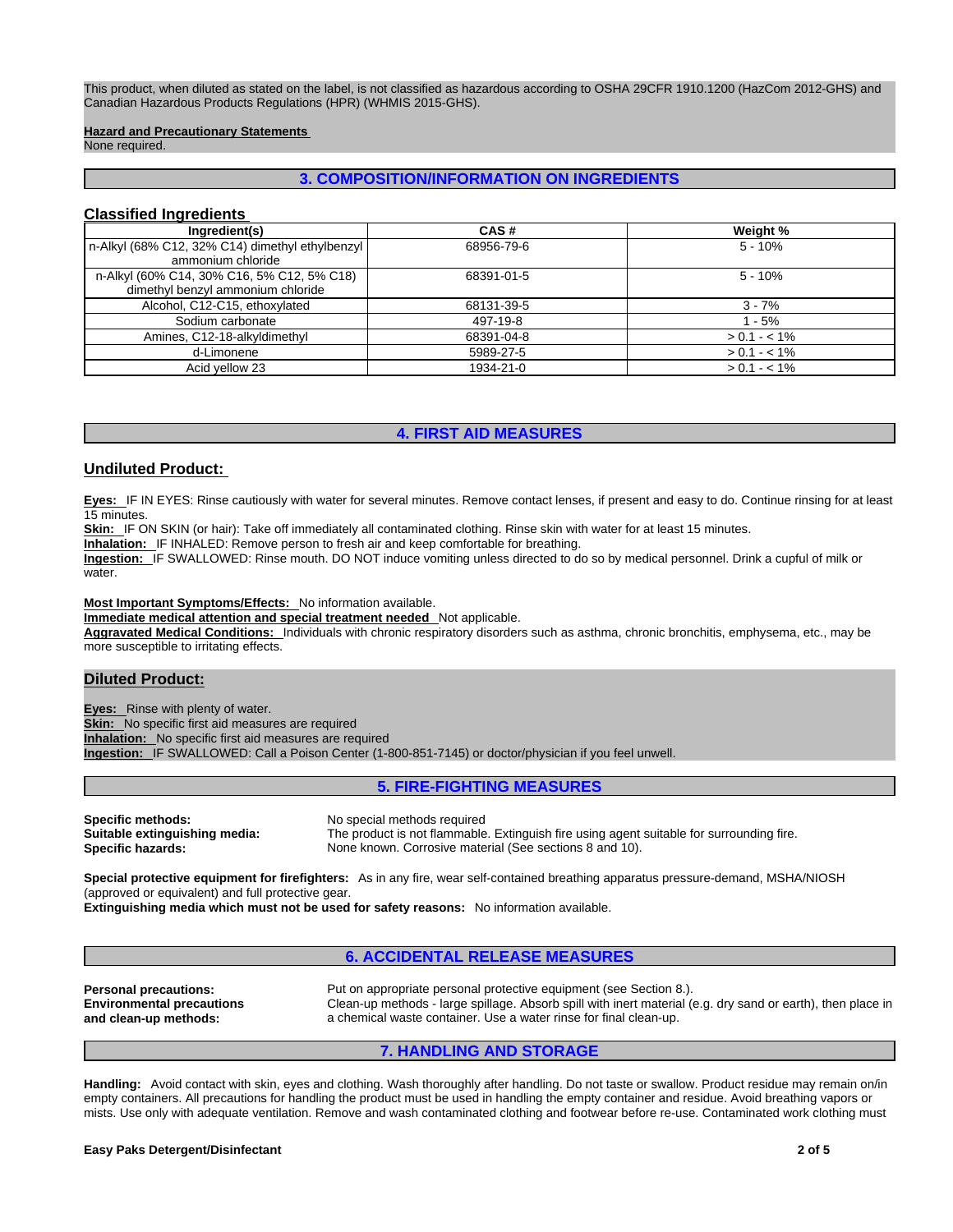This product, when diluted as stated on the label, is not classified as hazardous according to OSHA 29CFR 1910.1200 (HazCom 2012-GHS) and Canadian Hazardous Products Regulations (HPR) (WHMIS 2015-GHS).

#### **Hazard and Precautionary Statements**

None required.

# **3. COMPOSITION/INFORMATION ON INGREDIENTS**

# **Classified Ingredients**

| Ingredient(s)                                                                   | CAS#       | Weight %      |
|---------------------------------------------------------------------------------|------------|---------------|
| n-Alkyl (68% C12, 32% C14) dimethyl ethylbenzyl<br>ammonium chloride            | 68956-79-6 | $5 - 10%$     |
| n-Alkyl (60% C14, 30% C16, 5% C12, 5% C18)<br>dimethyl benzyl ammonium chloride | 68391-01-5 | $5 - 10%$     |
| Alcohol, C12-C15, ethoxylated                                                   | 68131-39-5 | $3 - 7%$      |
| Sodium carbonate                                                                | 497-19-8   | 1 - 5%        |
| Amines, C12-18-alkyldimethyl                                                    | 68391-04-8 | $> 0.1 - 1\%$ |
| d-Limonene                                                                      | 5989-27-5  | $> 0.1 - 1\%$ |
| Acid yellow 23                                                                  | 1934-21-0  | $> 0.1 - 1\%$ |

## **4. FIRST AID MEASURES**

#### **Undiluted Product:**

**Eyes:** IF IN EYES: Rinse cautiously with water for several minutes. Remove contact lenses, if present and easy to do. Continue rinsing for at least 15 minutes.

Skin: IF ON SKIN (or hair): Take off immediately all contaminated clothing. Rinse skin with water for at least 15 minutes.

**Inhalation:** IF INHALED: Remove person to fresh air and keep comfortable for breathing.

**Ingestion:** IF SWALLOWED: Rinse mouth. DO NOT induce vomiting unless directed to do so by medical personnel. Drink a cupful of milk or water.

#### **Most Important Symptoms/Effects:** No information available.

**Immediate medical attention and special treatment needed** Not applicable.

**Aggravated Medical Conditions:** Individuals with chronic respiratory disorders such as asthma, chronic bronchitis, emphysema, etc., may be more susceptible to irritating effects.

# **Diluted Product:**

**Eyes:** Rinse with plenty of water.

**Skin:** No specific first aid measures are required

**Inhalation:** No specific first aid measures are required

**Ingestion:** IF SWALLOWED: Call a Poison Center (1-800-851-7145) or doctor/physician if you feel unwell.

# **5. FIRE-FIGHTING MEASURES**

**Specific methods:** No special methods required

**Suitable extinguishing media:** The product is not flammable. Extinguish fire using agent suitable for surrounding fire.<br>**Specific hazards:** None known. Corrosive material (See sections 8 and 10). None known. Corrosive material (See sections 8 and 10).

**Special protective equipment for firefighters:** As in any fire, wear self-contained breathing apparatus pressure-demand, MSHA/NIOSH (approved or equivalent) and full protective gear.

**Extinguishing media which must not be used for safety reasons:** No information available.

#### **6. ACCIDENTAL RELEASE MEASURES**

**Environmental precautions and clean-up methods:** 

**Personal precautions:** Put on appropriate personal protective equipment (see Section 8.). Clean-up methods - large spillage. Absorb spill with inert material (e.g. dry sand or earth), then place in a chemical waste container. Use a water rinse for final clean-up.

#### **7. HANDLING AND STORAGE**

**Handling:** Avoid contact with skin, eyes and clothing. Wash thoroughly after handling. Do not taste or swallow. Product residue may remain on/in empty containers. All precautions for handling the product must be used in handling the empty container and residue. Avoid breathing vapors or mists. Use only with adequate ventilation. Remove and wash contaminated clothing and footwear before re-use. Contaminated work clothing must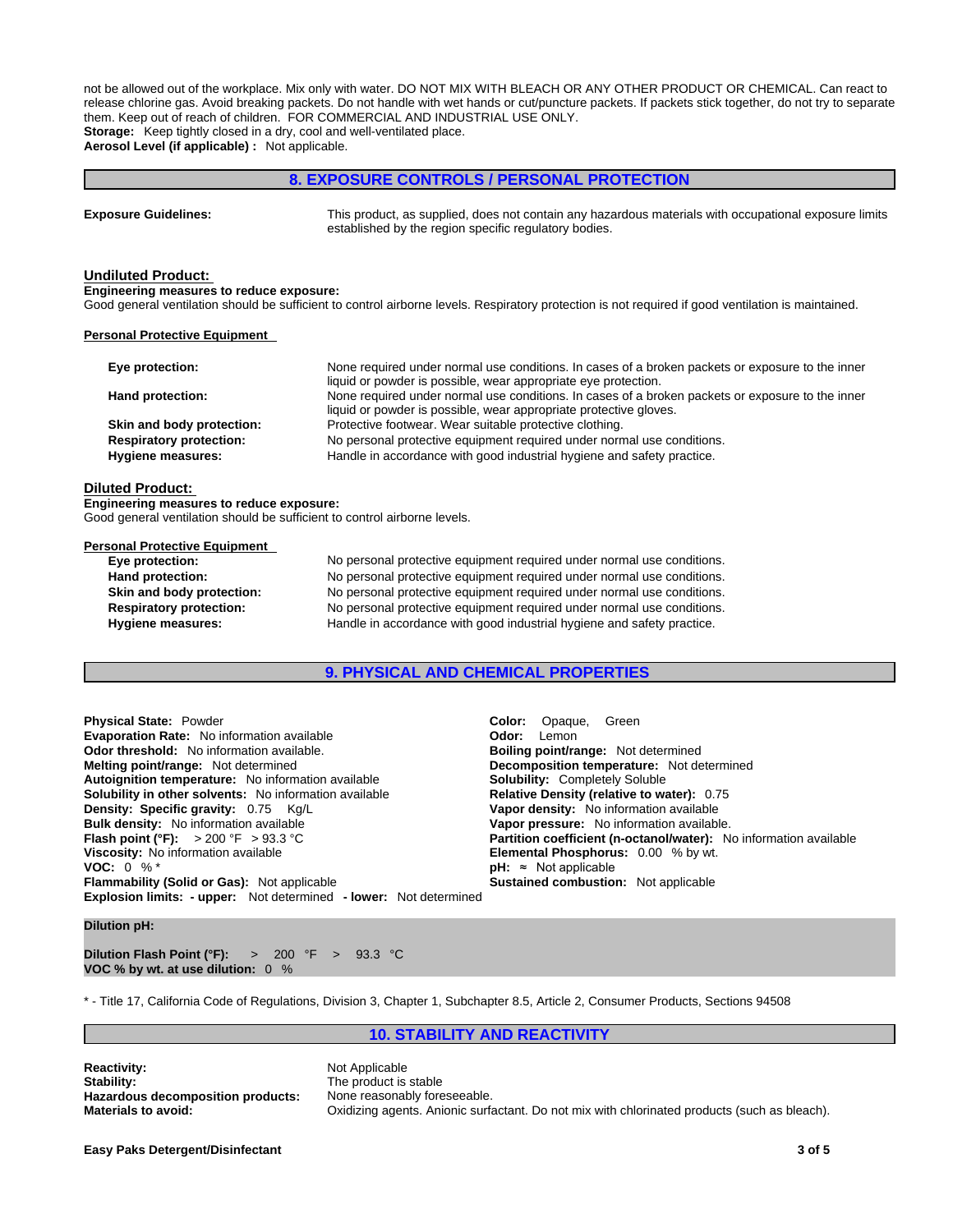not be allowed out of the workplace. Mix only with water. DO NOT MIX WITH BLEACH OR ANY OTHER PRODUCT OR CHEMICAL. Can react to release chlorine gas. Avoid breaking packets. Do not handle with wet hands or cut/puncture packets. If packets stick together, do not try to separate them. Keep out of reach of children. FOR COMMERCIAL AND INDUSTRIAL USE ONLY. **Storage:** Keep tightly closed in a dry, cool and well-ventilated place.

**Aerosol Level (if applicable) :** Not applicable.

## **8. EXPOSURE CONTROLS / PERSONAL PROTECTION**

| <b>Exposure Guidelines:</b> | This product, as supplied, does not contain any hazardous materials with occupational exposure limits |
|-----------------------------|-------------------------------------------------------------------------------------------------------|
|                             | established by the region specific regulatory bodies.                                                 |

#### **Undiluted Product:**

**Engineering measures to reduce exposure:**

Good general ventilation should be sufficient to control airborne levels. Respiratory protection is not required if good ventilation is maintained.

#### **Personal Protective Equipment**

| Eye protection:                                            | None required under normal use conditions. In cases of a broken packets or exposure to the inner<br>liquid or powder is possible, wear appropriate eye protection.    |
|------------------------------------------------------------|-----------------------------------------------------------------------------------------------------------------------------------------------------------------------|
| Hand protection:                                           | None required under normal use conditions. In cases of a broken packets or exposure to the inner<br>liquid or powder is possible, wear appropriate protective gloves. |
| Skin and body protection:                                  | Protective footwear. Wear suitable protective clothing.                                                                                                               |
| <b>Respiratory protection:</b><br><b>Hygiene measures:</b> | No personal protective equipment required under normal use conditions.<br>Handle in accordance with good industrial hygiene and safety practice.                      |

#### **Diluted Product:**

**Engineering measures to reduce exposure:**

Good general ventilation should be sufficient to control airborne levels.

#### **Personal Protective Equipment**

| Eye protection:                | No personal protective equipment required under normal use conditions. |
|--------------------------------|------------------------------------------------------------------------|
| Hand protection:               | No personal protective equipment required under normal use conditions. |
| Skin and body protection:      | No personal protective equipment required under normal use conditions. |
| <b>Respiratory protection:</b> | No personal protective equipment required under normal use conditions. |
| <b>Hygiene measures:</b>       | Handle in accordance with good industrial hygiene and safety practice. |

# **9. PHYSICAL AND CHEMICAL PROPERTIES**

**Explosion limits: - upper:** Not determined **- lower:** Not determined **Physical State:** Powder **Color: Opaque, Green Color:** Opaque, Green **Color:** Color: Creen **Color:** Creen **Color:** Creen **Color:** Cemon **Evaporation Rate:** No information available **Odor threshold:** No information available. **Boiling point/range: Not determined Melting point/range: Not determined Melting point/range:** Not determined **Autoignition temperature:** No information available **Solubility:** Completely Soluble **Solubility in other solvents:** No information available **Density: Specific gravity:** 0.75 Kg/L **Vapor density:** No information available **Bulk density:** No information available **Vanet Concernsivers Vapor pressure:** No information available.<br> **Flash point (°F):** > 200 °F > 93.3 °C **Concernsivers** Partition coefficient (n-octanol/water): N **Flash point (°F):** > 200 °F > 93.3 °C **Partition coefficient (n-octanol/water):** No information available **Viscosity:** No information available **Viscosity:** No information available **Viscosity:** No information available **Viscosity:** No information available **Elemental Phosphorus:** 0.00 % by wt. **VOC:** 0 % \* **Flammability (Solid or Gas):** Not applicable

**Decomposition temperature:** Not determined **pH:** ≈ Not applicable **Sustained combustion:** Not applicable

**Dilution pH:**

**Dilution Flash Point (°F):** > 200 °F > 93.3 °C **VOC % by wt. at use dilution:** 0 %

\* - Title 17, California Code of Regulations, Division 3, Chapter 1, Subchapter 8.5, Article 2, Consumer Products, Sections 94508

# **10. STABILITY AND REACTIVITY**

**Reactivity:** Not Applicable **Stability:** Not Applicable Stability: **Hazardous decomposition products:**<br>**Materials to avoid:** 

The product is stable<br>None reasonably foreseeable. **Materials to avoid:** Oxidizing agents. Anionic surfactant. Do not mix with chlorinated products (such as bleach).

**Easy Paks Detergent/Disinfectant 3 of 5**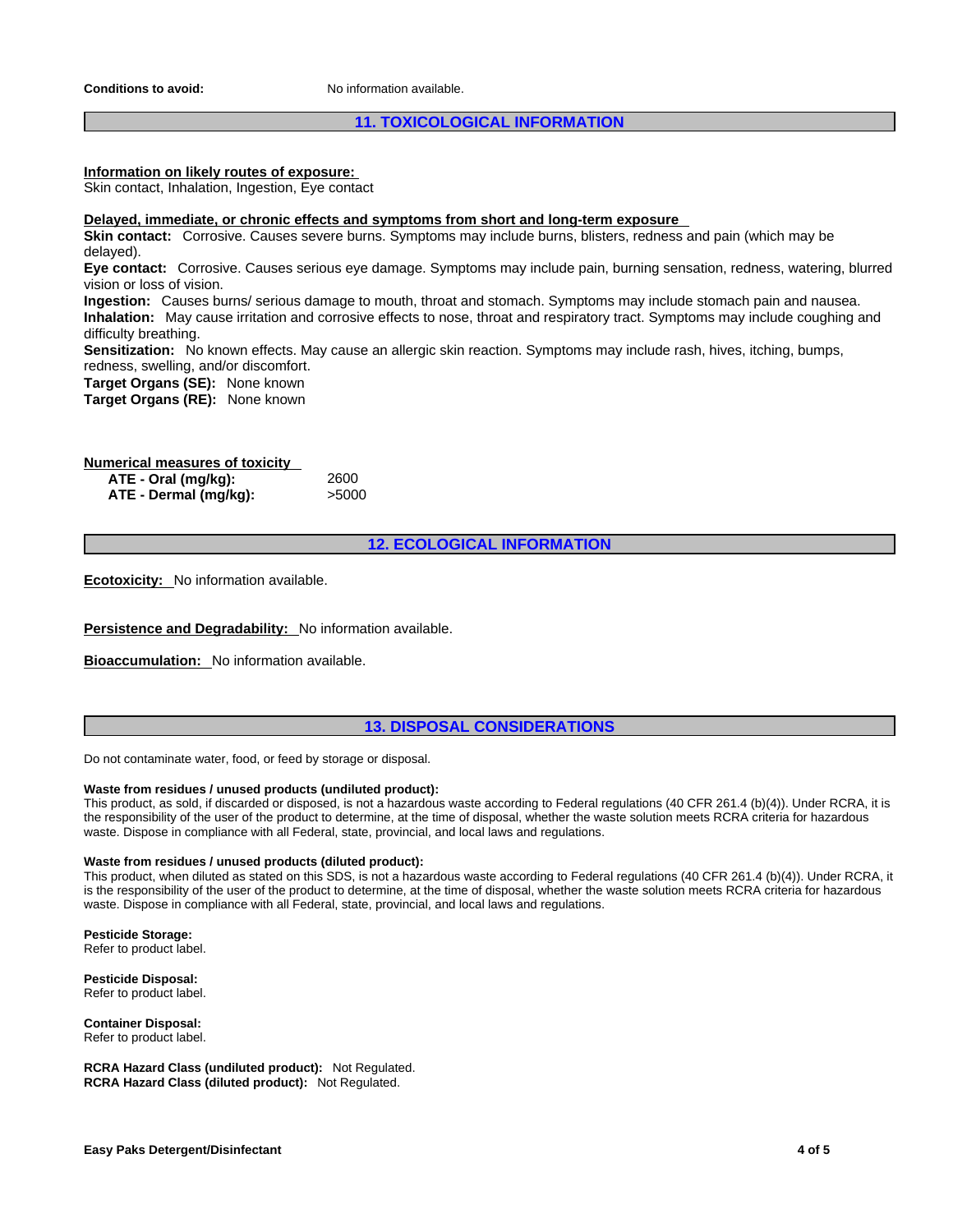**Conditions to avoid:** No information available.

# **11. TOXICOLOGICAL INFORMATION**

# **Information on likely routes of exposure:**

Skin contact, Inhalation, Ingestion, Eye contact

#### **Delayed, immediate, or chronic effects and symptoms from short and long-term exposure**

**Skin contact:** Corrosive. Causes severe burns. Symptoms may include burns, blisters, redness and pain (which may be delayed).

**Eye contact:** Corrosive. Causes serious eye damage. Symptoms may include pain, burning sensation, redness, watering, blurred vision or loss of vision.

**Ingestion:** Causes burns/ serious damage to mouth, throat and stomach. Symptoms may include stomach pain and nausea. **Inhalation:** May cause irritation and corrosive effects to nose, throat and respiratory tract. Symptoms may include coughing and difficulty breathing.

**Sensitization:** No known effects. May cause an allergic skin reaction. Symptoms may include rash, hives, itching, bumps, redness, swelling, and/or discomfort.

**Target Organs (SE):** None known

**Target Organs (RE):** None known

# **Numerical measures of toxicity**

**ATE - Oral (mg/kg):** 2600 **ATE** - **Dermal** (mg/kg):

**12. ECOLOGICAL INFORMATION**

**Ecotoxicity:** No information available.

**Persistence and Degradability:** No information available.

**Bioaccumulation:** No information available.

# **13. DISPOSAL CONSIDERATIONS**

Do not contaminate water, food, or feed by storage or disposal.

#### **Waste from residues / unused products (undiluted product):**

This product, as sold, if discarded or disposed, is not a hazardous waste according to Federal regulations (40 CFR 261.4 (b)(4)). Under RCRA, it is the responsibility of the user of the product to determine, at the time of disposal, whether the waste solution meets RCRA criteria for hazardous waste. Dispose in compliance with all Federal, state, provincial, and local laws and regulations.

#### **Waste from residues / unused products (diluted product):**

This product, when diluted as stated on this SDS, is not a hazardous waste according to Federal regulations (40 CFR 261.4 (b)(4)). Under RCRA, it is the responsibility of the user of the product to determine, at the time of disposal, whether the waste solution meets RCRA criteria for hazardous waste. Dispose in compliance with all Federal, state, provincial, and local laws and regulations.

**Pesticide Storage:**

Refer to product label.

**Pesticide Disposal:** Refer to product label.

**Container Disposal:** Refer to product label.

**RCRA Hazard Class (undiluted product):** Not Regulated. **RCRA Hazard Class (diluted product):** Not Regulated.